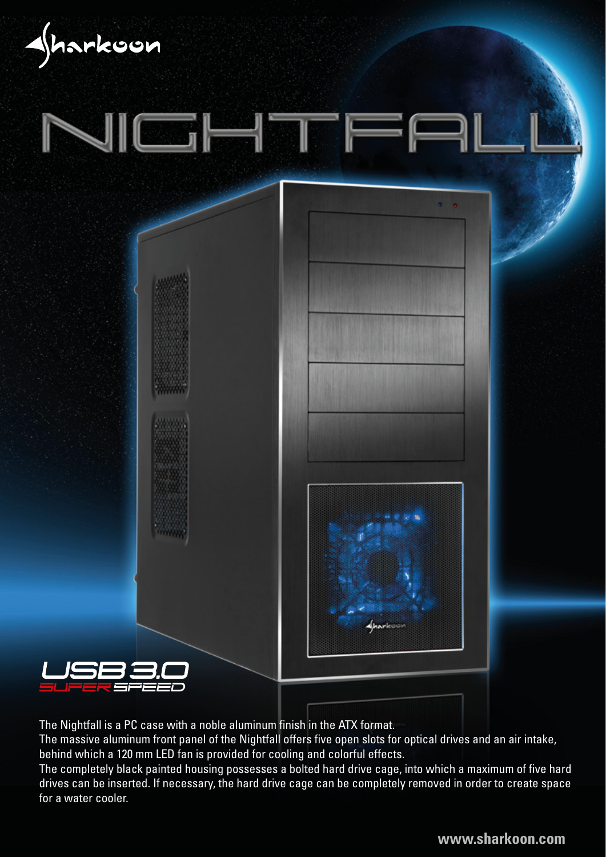







The Nightfall is a PC case with a noble aluminum finish in the ATX format.

The massive aluminum front panel of the Nightfall offers five open slots for optical drives and an air intake, behind which a 120 mm LED fan is provided for cooling and colorful effects.

The completely black painted housing possesses a bolted hard drive cage, into which a maximum of five hard drives can be inserted. If necessary, the hard drive cage can be completely removed in order to create space for a water cooler.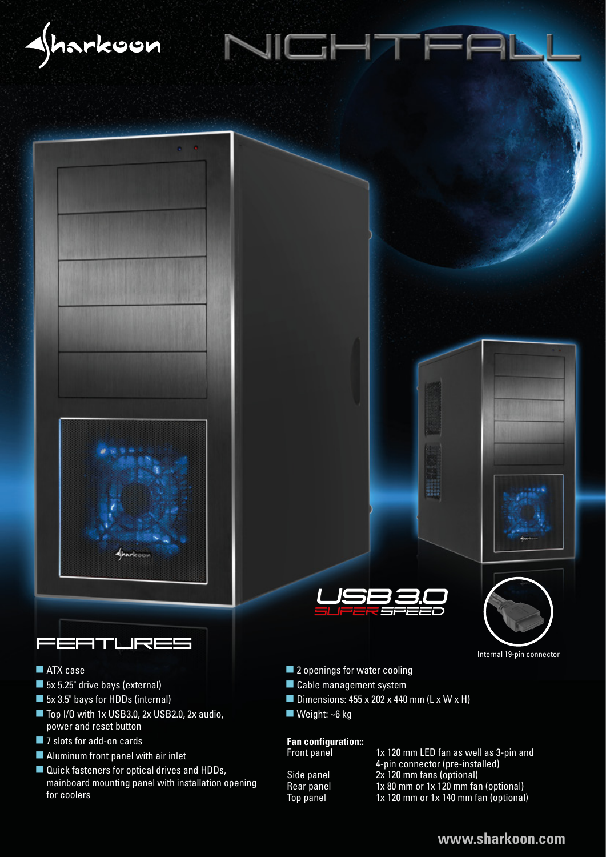





# <u> :ATLIRE!</u>

- **ATX** case
- 5x 5.25" drive bays (external)
- 5x 3.5" bays for HDDs (internal)
- Top I/O with 1x USB3.0, 2x USB2.0, 2x audio, power and reset button
- 7 slots for add-on cards
- **Aluminum front panel with air inlet**
- Quick fasteners for optical drives and HDDs, mainboard mounting panel with installation opening for coolers





Internal 19-pin connector

■ 2 openings for water cooling

ICHT

- Cable management system
- Dimensions:  $455 \times 202 \times 440$  mm (L  $\times$  W  $\times$  H)
- Weight: ~6 kg

## **Fan configuration::**

1x 120 mm LED fan as well as 3-pin and 4-pin connector (pre-installed)<br>Side panel 2x 120 mm fans (optional) Side panel 2x 120 mm fans (optional)<br>Rear panel 1x 80 mm or 1x 120 mm far  $1x 80$  mm or  $1x 120$  mm fan (optional) Top panel 1x 120 mm or 1x 140 mm fan (optional)

#### **www.sharkoon.com**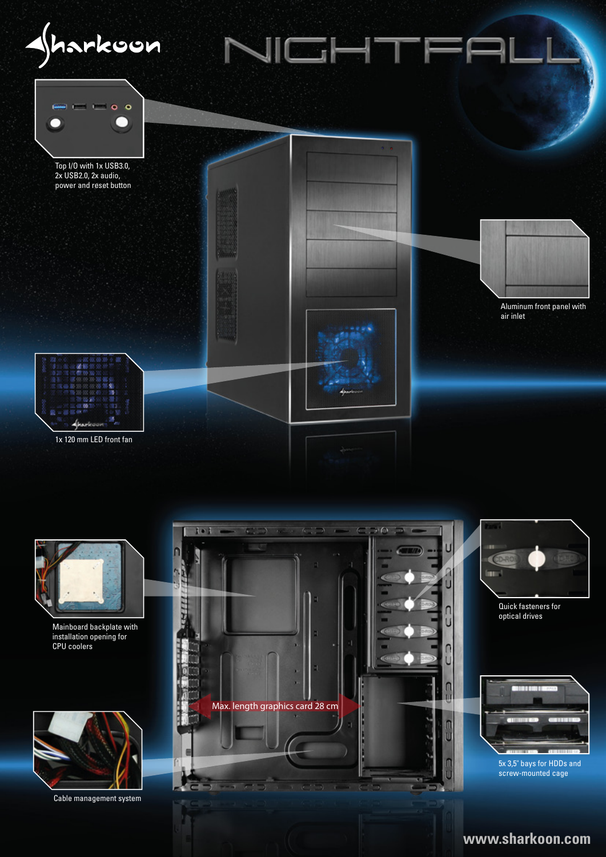



Mainboard backplate with installation opening for CPU coolers



Cable management system



### **www.sharkoon.com**